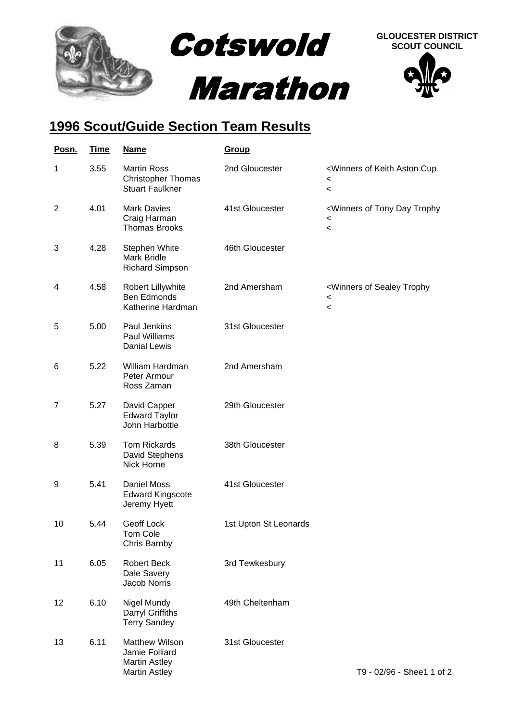

## **1996 Scout/Guide Section Team Results**

| Posn.          | <b>Time</b> | <b>Name</b>                                                                      | <b>Group</b>          |                                                                                                                  |
|----------------|-------------|----------------------------------------------------------------------------------|-----------------------|------------------------------------------------------------------------------------------------------------------|
| 1              | 3.55        | <b>Martin Ross</b><br><b>Christopher Thomas</b><br><b>Stuart Faulkner</b>        | 2nd Gloucester        | <winners aston="" cup<br="" keith="" of=""><math>\,&lt;\,</math><br/><math>\,&lt;\,</math></winners>             |
| $\overline{2}$ | 4.01        | <b>Mark Davies</b><br>Craig Harman<br><b>Thomas Brooks</b>                       | 41st Gloucester       | <winners day="" of="" tony="" trophy<br=""><math display="inline">\,&lt;</math><br/><math>\prec</math></winners> |
| 3              | 4.28        | Stephen White<br>Mark Bridle<br><b>Richard Simpson</b>                           | 46th Gloucester       |                                                                                                                  |
| 4              | 4.58        | Robert Lillywhite<br><b>Ben Edmonds</b><br>Katherine Hardman                     | 2nd Amersham          | <winners of="" sealey="" trophy<br=""><math>\,&lt;\,</math><br/><math>\,&lt;\,</math></winners>                  |
| 5              | 5.00        | Paul Jenkins<br>Paul Williams<br>Danial Lewis                                    | 31st Gloucester       |                                                                                                                  |
| 6              | 5.22        | William Hardman<br>Peter Armour<br>Ross Zaman                                    | 2nd Amersham          |                                                                                                                  |
| $\overline{7}$ | 5.27        | David Capper<br><b>Edward Taylor</b><br>John Harbottle                           | 29th Gloucester       |                                                                                                                  |
| 8              | 5.39        | <b>Tom Rickards</b><br>David Stephens<br>Nick Horne                              | 38th Gloucester       |                                                                                                                  |
| 9              | 5.41        | Daniel Moss<br><b>Edward Kingscote</b><br>Jeremy Hyett                           | 41st Gloucester       |                                                                                                                  |
| 10             | 5.44        | Geoff Lock<br>Tom Cole<br>Chris Barnby                                           | 1st Upton St Leonards |                                                                                                                  |
| 11             | 6.05        | Robert Beck<br>Dale Savery<br>Jacob Norris                                       | 3rd Tewkesbury        |                                                                                                                  |
| 12             | 6.10        | Nigel Mundy<br>Darryl Griffiths<br><b>Terry Sandey</b>                           | 49th Cheltenham       |                                                                                                                  |
| 13             | 6.11        | Matthew Wilson<br>Jamie Folliard<br><b>Martin Astley</b><br><b>Martin Astley</b> | 31st Gloucester       | T9 - 02/96 - Shee1 1 of 2                                                                                        |